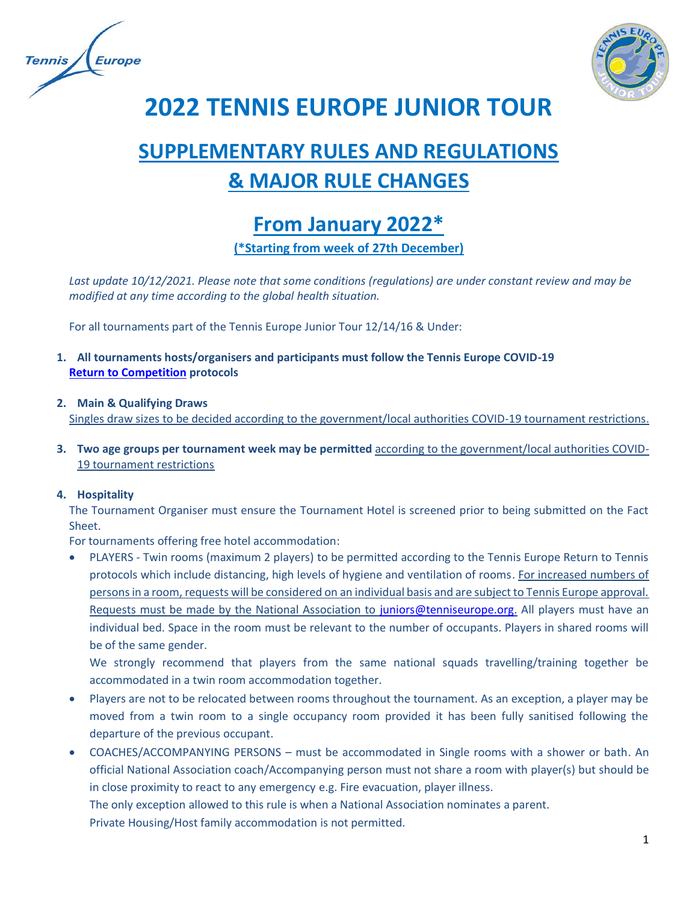



**2022 TENNIS EUROPE JUNIOR TOUR**

# **SUPPLEMENTARY RULES AND REGULATIONS & MAJOR RULE CHANGES**

# **From January 2022\***

**(\*Starting from week of 27th December)**

*Last update 10/12/2021. Please note that some conditions (regulations) are under constant review and may be modified at any time according to the global health situation.*

For all tournaments part of the Tennis Europe Junior Tour 12/14/16 & Under:

**1. All tournaments hosts/organisers and participants must follow the Tennis Europe COVID-19 [Return to Competition](https://www.tenniseurope.org/page/37892/Return-to-Competition-Protocols) protocols**

#### **2. Main & Qualifying Draws**

Singles draw sizes to be decided according to the government/local authorities COVID-19 tournament restrictions.

**3. Two age groups per tournament week may be permitted** according to the government/local authorities COVID-19 tournament restrictions

#### **4. Hospitality**

The Tournament Organiser must ensure the Tournament Hotel is screened prior to being submitted on the Fact Sheet.

For tournaments offering free hotel accommodation:

• PLAYERS - Twin rooms (maximum 2 players) to be permitted according to the Tennis Europe Return to Tennis protocols which include distancing, high levels of hygiene and ventilation of rooms. For increased numbers of persons in a room, requests will be considered on an individual basis and are subject to Tennis Europe approval. Requests must be made by the National Association to [juniors@tenniseurope.org.](mailto:juniors@tenniseurope.org) All players must have an individual bed. Space in the room must be relevant to the number of occupants. Players in shared rooms will be of the same gender.

We strongly recommend that players from the same national squads travelling/training together be accommodated in a twin room accommodation together.

- Players are not to be relocated between rooms throughout the tournament. As an exception, a player may be moved from a twin room to a single occupancy room provided it has been fully sanitised following the departure of the previous occupant.
- COACHES/ACCOMPANYING PERSONS must be accommodated in Single rooms with a shower or bath. An official National Association coach/Accompanying person must not share a room with player(s) but should be in close proximity to react to any emergency e.g. Fire evacuation, player illness.

The only exception allowed to this rule is when a National Association nominates a parent. Private Housing/Host family accommodation is not permitted.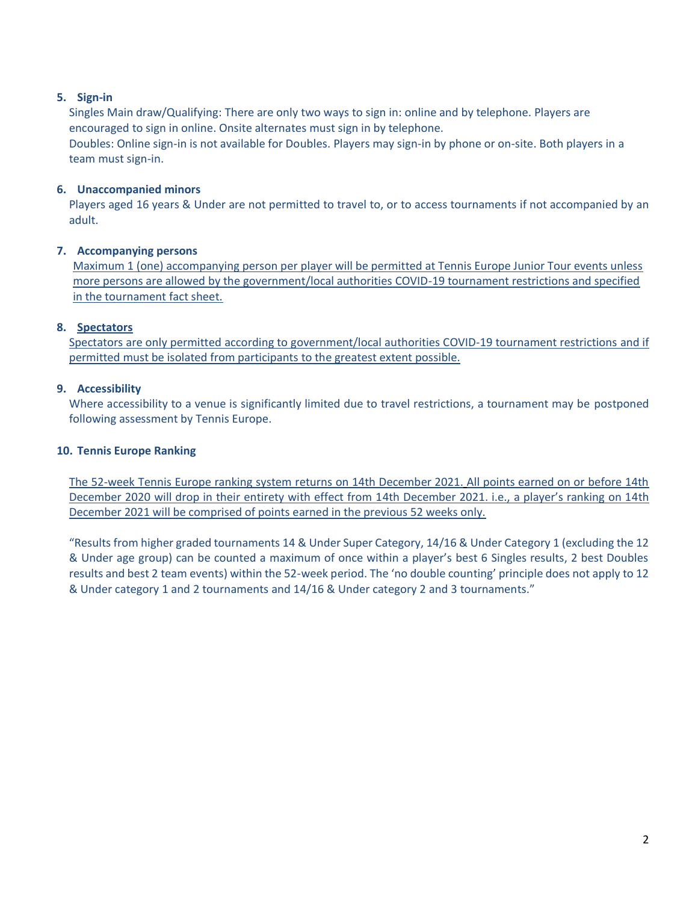# **5. Sign-in**

Singles Main draw/Qualifying: There are only two ways to sign in: online and by telephone. Players are encouraged to sign in online. Onsite alternates must sign in by telephone. Doubles: Online sign-in is not available for Doubles. Players may sign-in by phone or on-site. Both players in a team must sign-in.

#### **6. Unaccompanied minors**

Players aged 16 years & Under are not permitted to travel to, or to access tournaments if not accompanied by an adult.

# **7. Accompanying persons**

Maximum 1 (one) accompanying person per player will be permitted at Tennis Europe Junior Tour events unless more persons are allowed by the government/local authorities COVID-19 tournament restrictions and specified in the tournament fact sheet.

# **8. Spectators**

Spectators are only permitted according to government/local authorities COVID-19 tournament restrictions and if permitted must be isolated from participants to the greatest extent possible.

# **9. Accessibility**

Where accessibility to a venue is significantly limited due to travel restrictions, a tournament may be postponed following assessment by Tennis Europe.

# **10. Tennis Europe Ranking**

The 52-week Tennis Europe ranking system returns on 14th December 2021. All points earned on or before 14th December 2020 will drop in their entirety with effect from 14th December 2021. i.e., a player's ranking on 14th December 2021 will be comprised of points earned in the previous 52 weeks only.

"Results from higher graded tournaments 14 & Under Super Category, 14/16 & Under Category 1 (excluding the 12 & Under age group) can be counted a maximum of once within a player's best 6 Singles results, 2 best Doubles results and best 2 team events) within the 52-week period. The 'no double counting' principle does not apply to 12 & Under category 1 and 2 tournaments and 14/16 & Under category 2 and 3 tournaments."